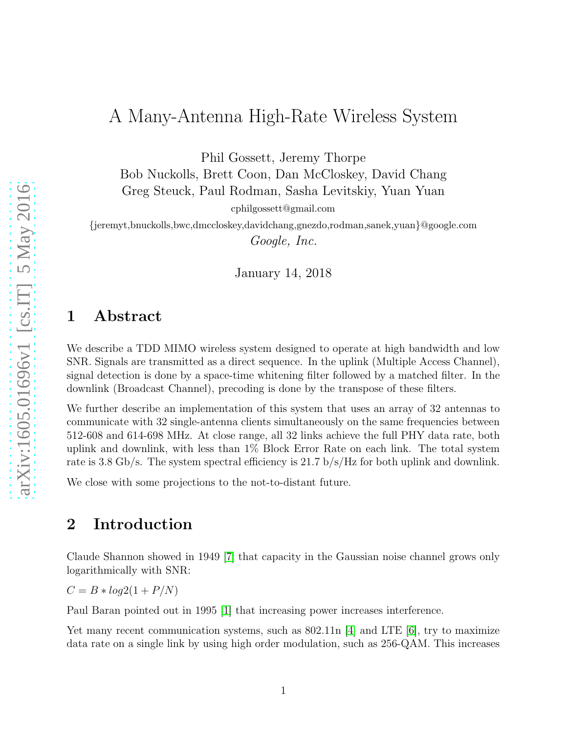# A Many-Antenna High-Rate Wireless System

Phil Gossett, Jeremy Thorpe

Bob Nuckolls, Brett Coon, Dan McCloskey, David Chang Greg Steuck, Paul Rodman, Sasha Levitskiy, Yuan Yuan

cphilgossett@gmail.com

{jeremyt,bnuckolls,bwc,dmccloskey,davidchang,gnezdo,rodman,sanek,yuan}@google.com *Google, Inc.*

January 14, 2018

### 1 Abstract

We describe a TDD MIMO wireless system designed to operate at high bandwidth and low SNR. Signals are transmitted as a direct sequence. In the uplink (Multiple Access Channel), signal detection is done by a space-time whitening filter followed by a matched filter. In the downlink (Broadcast Channel), precoding is done by the transpose of these filters.

We further describe an implementation of this system that uses an array of 32 antennas to communicate with 32 single-antenna clients simultaneously on the same frequencies between 512-608 and 614-698 MHz. At close range, all 32 links achieve the full PHY data rate, both uplink and downlink, with less than 1% Block Error Rate on each link. The total system rate is 3.8 Gb/s. The system spectral efficiency is 21.7 b/s/Hz for both uplink and downlink.

We close with some projections to the not-to-distant future.

### 2 Introduction

Claude Shannon showed in 1949 [\[7\]](#page-8-0) that capacity in the Gaussian noise channel grows only logarithmically with SNR:

 $C = B * log2(1 + P/N)$ 

Paul Baran pointed out in 1995 [\[1\]](#page-8-1) that increasing power increases interference.

Yet many recent communication systems, such as  $802.11n$  [\[4\]](#page-8-2) and LTE [\[6\]](#page-8-3), try to maximize data rate on a single link by using high order modulation, such as 256-QAM. This increases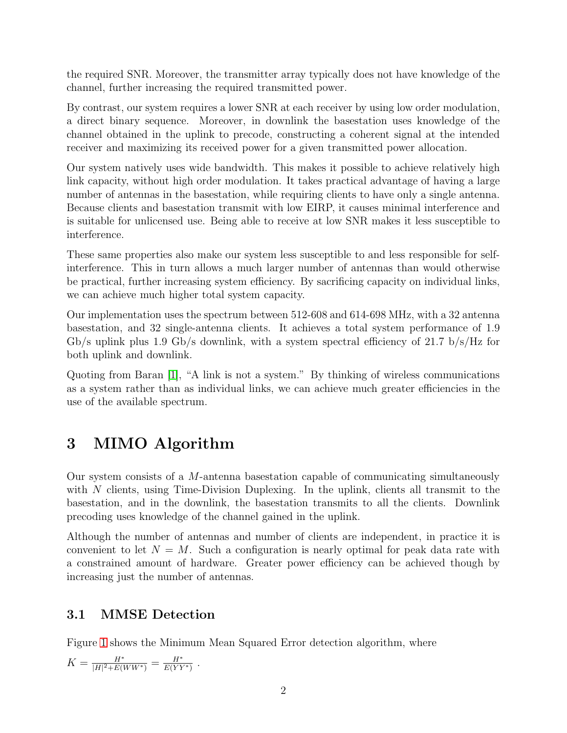the required SNR. Moreover, the transmitter array typically does not have knowledge of the channel, further increasing the required transmitted power.

By contrast, our system requires a lower SNR at each receiver by using low order modulation, a direct binary sequence. Moreover, in downlink the basestation uses knowledge of the channel obtained in the uplink to precode, constructing a coherent signal at the intended receiver and maximizing its received power for a given transmitted power allocation.

Our system natively uses wide bandwidth. This makes it possible to achieve relatively high link capacity, without high order modulation. It takes practical advantage of having a large number of antennas in the basestation, while requiring clients to have only a single antenna. Because clients and basestation transmit with low EIRP, it causes minimal interference and is suitable for unlicensed use. Being able to receive at low SNR makes it less susceptible to interference.

These same properties also make our system less susceptible to and less responsible for selfinterference. This in turn allows a much larger number of antennas than would otherwise be practical, further increasing system efficiency. By sacrificing capacity on individual links, we can achieve much higher total system capacity.

Our implementation uses the spectrum between 512-608 and 614-698 MHz, with a 32 antenna basestation, and 32 single-antenna clients. It achieves a total system performance of 1.9  $Gb/s$  uplink plus 1.9  $Gb/s$  downlink, with a system spectral efficiency of 21.7  $b/s/Hz$  for both uplink and downlink.

Quoting from Baran [\[1\]](#page-8-1), "A link is not a system." By thinking of wireless communications as a system rather than as individual links, we can achieve much greater efficiencies in the use of the available spectrum.

# 3 MIMO Algorithm

Our system consists of a M-antenna basestation capable of communicating simultaneously with N clients, using Time-Division Duplexing. In the uplink, clients all transmit to the basestation, and in the downlink, the basestation transmits to all the clients. Downlink precoding uses knowledge of the channel gained in the uplink.

Although the number of antennas and number of clients are independent, in practice it is convenient to let  $N = M$ . Such a configuration is nearly optimal for peak data rate with a constrained amount of hardware. Greater power efficiency can be achieved though by increasing just the number of antennas.

## 3.1 MMSE Detection

Figure [1](#page-2-0) shows the Minimum Mean Squared Error detection algorithm, where

 $K = \frac{H^*}{|H|^2 + E(I)}$  $\frac{H^*}{|H|^2 + E(WW^*)} = \frac{H^*}{E(Y)}$  $\frac{H^*}{E(YY^*)}$  .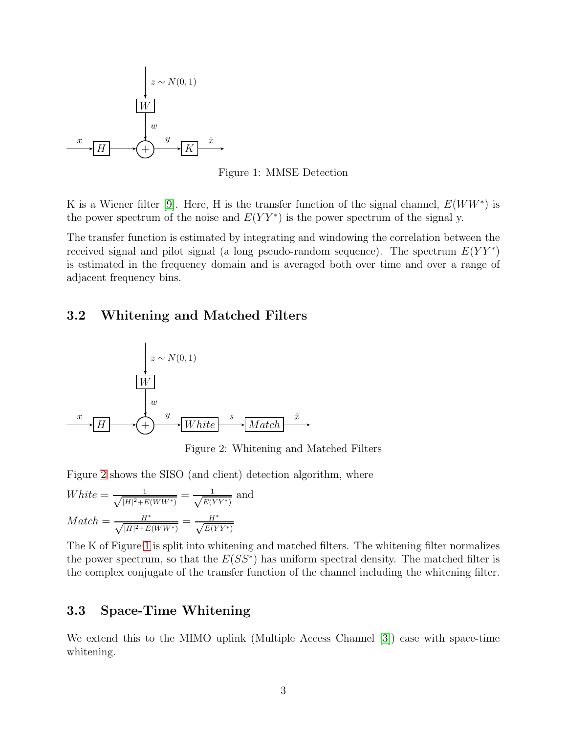

<span id="page-2-0"></span>Figure 1: MMSE Detection

K is a Wiener filter [\[9\]](#page-8-4). Here, H is the transfer function of the signal channel,  $E(WW^*)$  is the power spectrum of the noise and  $E(YY^*)$  is the power spectrum of the signal y.

The transfer function is estimated by integrating and windowing the correlation between the received signal and pilot signal (a long pseudo-random sequence). The spectrum  $E(YY^*)$ is estimated in the frequency domain and is averaged both over time and over a range of adjacent frequency bins.

#### 3.2 Whitening and Matched Filters



<span id="page-2-1"></span>Figure 2: Whitening and Matched Filters

Figure [2](#page-2-1) shows the SISO (and client) detection algorithm, where

$$
White = \frac{1}{\sqrt{|H|^2 + E(WW^*)}} = \frac{1}{\sqrt{E(YY^*)}} \text{ and}
$$

$$
Match = \frac{H^*}{\sqrt{|H|^2 + E(WW^*)}} = \frac{H^*}{\sqrt{E(YY^*)}}
$$

The K of Figure [1](#page-2-0) is split into whitening and matched filters. The whitening filter normalizes the power spectrum, so that the  $E(SS^*)$  has uniform spectral density. The matched filter is the complex conjugate of the transfer function of the channel including the whitening filter.

#### 3.3 Space-Time Whitening

We extend this to the MIMO uplink (Multiple Access Channel [\[3\]](#page-8-5)) case with space-time whitening.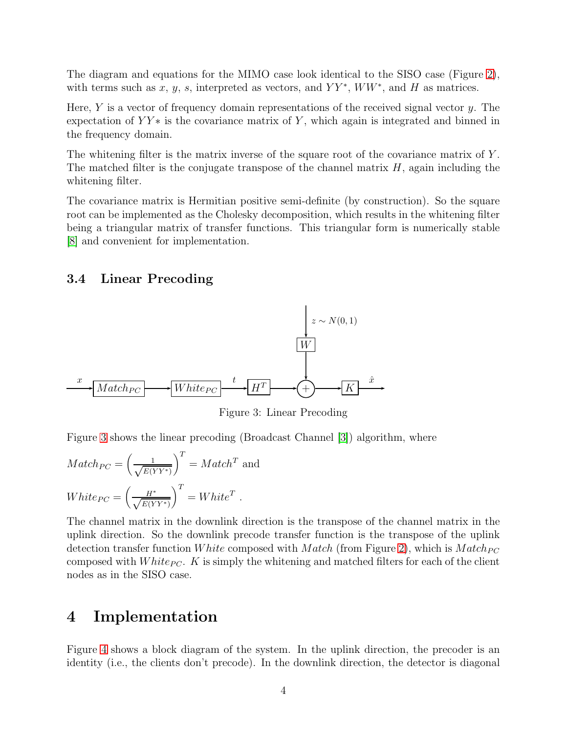The diagram and equations for the MIMO case look identical to the SISO case (Figure [2\)](#page-2-1), with terms such as x, y, s, interpreted as vectors, and  $YY^*$ ,  $WW^*$ , and H as matrices.

Here,  $Y$  is a vector of frequency domain representations of the received signal vector  $y$ . The expectation of  $YY*$  is the covariance matrix of Y, which again is integrated and binned in the frequency domain.

The whitening filter is the matrix inverse of the square root of the covariance matrix of Y. The matched filter is the conjugate transpose of the channel matrix  $H$ , again including the whitening filter.

The covariance matrix is Hermitian positive semi-definite (by construction). So the square root can be implemented as the Cholesky decomposition, which results in the whitening filter being a triangular matrix of transfer functions. This triangular form is numerically stable [\[8\]](#page-8-6) and convenient for implementation.

#### 3.4 Linear Precoding



<span id="page-3-0"></span>Figure 3: Linear Precoding

Figure [3](#page-3-0) shows the linear precoding (Broadcast Channel [\[3\]](#page-8-5)) algorithm, where

$$
Match_{PC} = \left(\frac{1}{\sqrt{E(Y^*)}}\right)^T = Match^T \text{ and}
$$
  

$$
White_{PC} = \left(\frac{H^*}{\sqrt{E(Y^*)}}\right)^T = White^T.
$$

The channel matrix in the downlink direction is the transpose of the channel matrix in the uplink direction. So the downlink precode transfer function is the transpose of the uplink detection transfer function White composed with Match (from Figure [2\)](#page-2-1), which is  $Match_{PC}$ composed with W hite<sub>PC</sub>. K is simply the whitening and matched filters for each of the client nodes as in the SISO case.

### 4 Implementation

Figure [4](#page-4-0) shows a block diagram of the system. In the uplink direction, the precoder is an identity (i.e., the clients don't precode). In the downlink direction, the detector is diagonal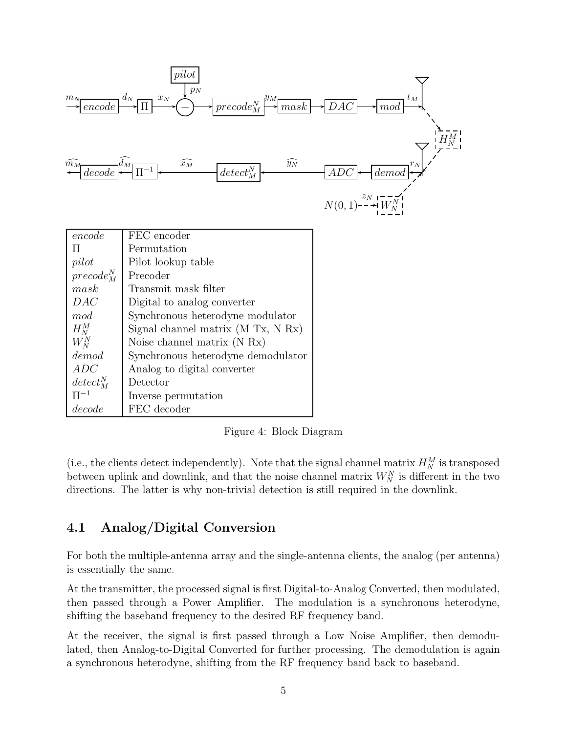| pilot<br>$p_N$<br>$d_N$<br>$\rightarrow$ DAC<br>$t_{\cal M}$<br>$m_{\cal N}$<br>$x_N$<br>$\overline{precode_N^N}$ $\overline{p_{mask}}$<br>$\frac{encode}{ }$<br>mod<br>$\widehat{y_N}$<br>$\overline{decode}$ $\overline{d_M}$ $\overline{\Pi^{-1}}$ $\longleftarrow$<br>$\widehat{x_M}$<br>$\widehat{m}_{M}$<br>$detect_M^N$<br>$\overline{demo}$<br>ADC |                                    |                                      |
|------------------------------------------------------------------------------------------------------------------------------------------------------------------------------------------------------------------------------------------------------------------------------------------------------------------------------------------------------------|------------------------------------|--------------------------------------|
|                                                                                                                                                                                                                                                                                                                                                            |                                    | $N(0, 1)$ --- $\overline{W_N^{N-1}}$ |
| encode                                                                                                                                                                                                                                                                                                                                                     | FEC encoder                        |                                      |
| П                                                                                                                                                                                                                                                                                                                                                          | Permutation                        |                                      |
| pilot                                                                                                                                                                                                                                                                                                                                                      | Pilot lookup table                 |                                      |
| $precode_N^N$                                                                                                                                                                                                                                                                                                                                              | Precoder                           |                                      |
| mask                                                                                                                                                                                                                                                                                                                                                       | Transmit mask filter               |                                      |
| DAC                                                                                                                                                                                                                                                                                                                                                        | Digital to analog converter        |                                      |
| mod                                                                                                                                                                                                                                                                                                                                                        | Synchronous heterodyne modulator   |                                      |
| $H_N^M$                                                                                                                                                                                                                                                                                                                                                    | Signal channel matrix (M Tx, N Rx) |                                      |
| $W_N^N$                                                                                                                                                                                                                                                                                                                                                    | Noise channel matrix $(N Rx)$      |                                      |
| demod                                                                                                                                                                                                                                                                                                                                                      | Synchronous heterodyne demodulator |                                      |
| ADC                                                                                                                                                                                                                                                                                                                                                        | Analog to digital converter        |                                      |
| $detect_M^N$                                                                                                                                                                                                                                                                                                                                               | Detector                           |                                      |
| $\Pi^{-1}$                                                                                                                                                                                                                                                                                                                                                 | Inverse permutation                |                                      |
| decode                                                                                                                                                                                                                                                                                                                                                     | FEC decoder                        |                                      |

<span id="page-4-0"></span>Figure 4: Block Diagram

(i.e., the clients detect independently). Note that the signal channel matrix  $H_N^M$  is transposed between uplink and downlink, and that the noise channel matrix  $W_N^N$  is different in the two directions. The latter is why non-trivial detection is still required in the downlink.

### 4.1 Analog/Digital Conversion

For both the multiple-antenna array and the single-antenna clients, the analog (per antenna) is essentially the same.

At the transmitter, the processed signal is first Digital-to-Analog Converted, then modulated, then passed through a Power Amplifier. The modulation is a synchronous heterodyne, shifting the baseband frequency to the desired RF frequency band.

At the receiver, the signal is first passed through a Low Noise Amplifier, then demodulated, then Analog-to-Digital Converted for further processing. The demodulation is again a synchronous heterodyne, shifting from the RF frequency band back to baseband.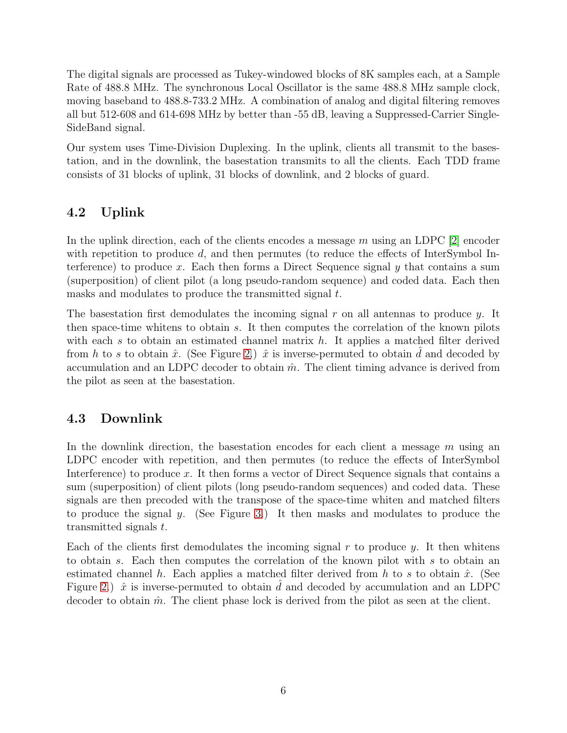The digital signals are processed as Tukey-windowed blocks of 8K samples each, at a Sample Rate of 488.8 MHz. The synchronous Local Oscillator is the same 488.8 MHz sample clock, moving baseband to 488.8-733.2 MHz. A combination of analog and digital filtering removes all but 512-608 and 614-698 MHz by better than -55 dB, leaving a Suppressed-Carrier Single-SideBand signal.

Our system uses Time-Division Duplexing. In the uplink, clients all transmit to the basestation, and in the downlink, the basestation transmits to all the clients. Each TDD frame consists of 31 blocks of uplink, 31 blocks of downlink, and 2 blocks of guard.

## 4.2 Uplink

In the uplink direction, each of the clients encodes a message m using an LDPC [\[2\]](#page-8-7) encoder with repetition to produce  $d$ , and then permutes (to reduce the effects of InterSymbol Interference) to produce x. Each then forms a Direct Sequence signal  $y$  that contains a sum (superposition) of client pilot (a long pseudo-random sequence) and coded data. Each then masks and modulates to produce the transmitted signal t.

The basestation first demodulates the incoming signal  $r$  on all antennas to produce  $y$ . It then space-time whitens to obtain s. It then computes the correlation of the known pilots with each s to obtain an estimated channel matrix  $h$ . It applies a matched filter derived from h to s to obtain  $\hat{x}$ . (See Figure [2.](#page-2-1))  $\hat{x}$  is inverse-permuted to obtain d and decoded by accumulation and an LDPC decoder to obtain  $\hat{m}$ . The client timing advance is derived from the pilot as seen at the basestation.

### 4.3 Downlink

In the downlink direction, the basestation encodes for each client a message  $m$  using an LDPC encoder with repetition, and then permutes (to reduce the effects of InterSymbol Interference) to produce x. It then forms a vector of Direct Sequence signals that contains a sum (superposition) of client pilots (long pseudo-random sequences) and coded data. These signals are then precoded with the transpose of the space-time whiten and matched filters to produce the signal y. (See Figure [3.](#page-3-0)) It then masks and modulates to produce the transmitted signals t.

Each of the clients first demodulates the incoming signal r to produce  $y$ . It then whitens to obtain s. Each then computes the correlation of the known pilot with s to obtain an estimated channel h. Each applies a matched filter derived from h to s to obtain  $\hat{x}$ . (See Figure [2.](#page-2-1))  $\hat{x}$  is inverse-permuted to obtain d and decoded by accumulation and an LDPC decoder to obtain  $\hat{m}$ . The client phase lock is derived from the pilot as seen at the client.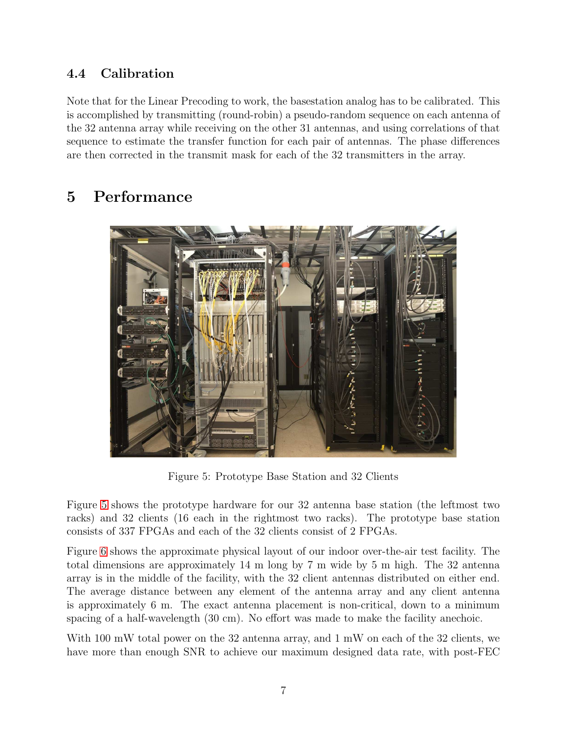## 4.4 Calibration

Note that for the Linear Precoding to work, the basestation analog has to be calibrated. This is accomplished by transmitting (round-robin) a pseudo-random sequence on each antenna of the 32 antenna array while receiving on the other 31 antennas, and using correlations of that sequence to estimate the transfer function for each pair of antennas. The phase differences are then corrected in the transmit mask for each of the 32 transmitters in the array.

# 5 Performance



Figure 5: Prototype Base Station and 32 Clients

<span id="page-6-0"></span>Figure [5](#page-6-0) shows the prototype hardware for our 32 antenna base station (the leftmost two racks) and 32 clients (16 each in the rightmost two racks). The prototype base station consists of 337 FPGAs and each of the 32 clients consist of 2 FPGAs.

Figure [6](#page-7-0) shows the approximate physical layout of our indoor over-the-air test facility. The total dimensions are approximately 14 m long by 7 m wide by 5 m high. The 32 antenna array is in the middle of the facility, with the 32 client antennas distributed on either end. The average distance between any element of the antenna array and any client antenna is approximately 6 m. The exact antenna placement is non-critical, down to a minimum spacing of a half-wavelength (30 cm). No effort was made to make the facility anechoic.

With 100 mW total power on the 32 antenna array, and 1 mW on each of the 32 clients, we have more than enough SNR to achieve our maximum designed data rate, with post-FEC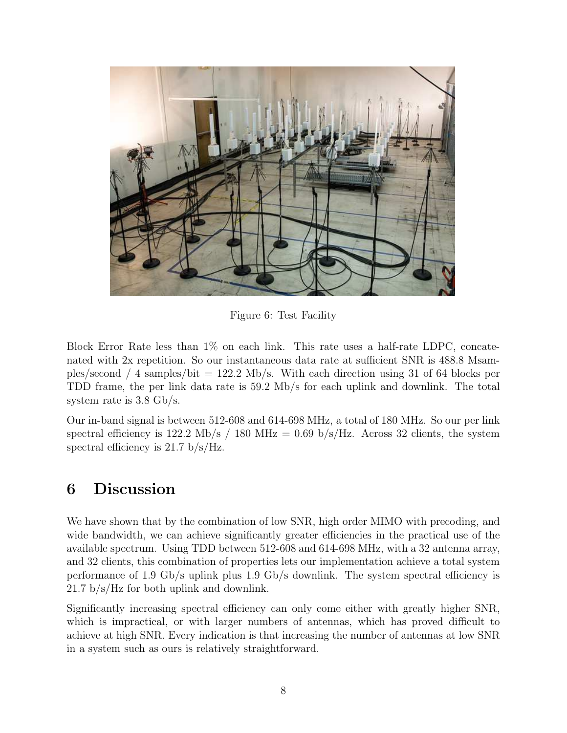

Figure 6: Test Facility

<span id="page-7-0"></span>Block Error Rate less than 1% on each link. This rate uses a half-rate LDPC, concatenated with 2x repetition. So our instantaneous data rate at sufficient SNR is 488.8 Msamples/second  $/4$  samples/bit = 122.2 Mb/s. With each direction using 31 of 64 blocks per TDD frame, the per link data rate is 59.2 Mb/s for each uplink and downlink. The total system rate is 3.8 Gb/s.

Our in-band signal is between 512-608 and 614-698 MHz, a total of 180 MHz. So our per link spectral efficiency is 122.2 Mb/s / 180 MHz = 0.69 b/s/Hz. Across 32 clients, the system spectral efficiency is 21.7 b/s/Hz.

# 6 Discussion

We have shown that by the combination of low SNR, high order MIMO with precoding, and wide bandwidth, we can achieve significantly greater efficiencies in the practical use of the available spectrum. Using TDD between 512-608 and 614-698 MHz, with a 32 antenna array, and 32 clients, this combination of properties lets our implementation achieve a total system performance of 1.9 Gb/s uplink plus 1.9 Gb/s downlink. The system spectral efficiency is 21.7 b/s/Hz for both uplink and downlink.

Significantly increasing spectral efficiency can only come either with greatly higher SNR, which is impractical, or with larger numbers of antennas, which has proved difficult to achieve at high SNR. Every indication is that increasing the number of antennas at low SNR in a system such as ours is relatively straightforward.